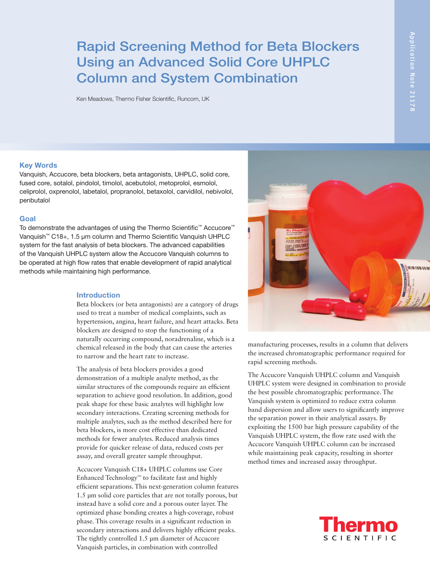# Rapid Screening Method for Beta Blockers Using an Advanced Solid Core UHPLC Column and System Combination

Ken Meadows, Thermo Fisher Scientific, Runcorn, UK

#### Key Words

Vanquish, Accucore, beta blockers, beta antagonists, UHPLC, solid core, fused core, sotalol, pindolol, timolol, acebutolol, metoprolol, esmolol, celiprolol, oxprenolol, labetalol, propranolol, betaxolol, carvidilol, nebivolol, penbutalol

# Goal

To demonstrate the advantages of using the Thermo Scientific™ Accucore™ Vanquish™ C18+, 1.5 µm column and Thermo Scientific Vanquish UHPLC system for the fast analysis of beta blockers. The advanced capabilities of the Vanquish UHPLC system allow the Accucore Vanquish columns to be operated at high flow rates that enable development of rapid analytical methods while maintaining high performance.

# Introduction

Beta blockers (or beta antagonists) are a category of drugs used to treat a number of medical complaints, such as hypertension, angina, heart failure, and heart attacks. Beta blockers are designed to stop the functioning of a naturally occurring compound, noradrenaline, which is a chemical released in the body that can cause the arteries to narrow and the heart rate to increase.

The analysis of beta blockers provides a good demonstration of a multiple analyte method, as the similar structures of the compounds require an efficient separation to achieve good resolution. In addition, good peak shape for these basic analytes will highlight low secondary interactions. Creating screening methods for multiple analytes, such as the method described here for beta blockers, is more cost effective than dedicated methods for fewer analytes. Reduced analysis times provide for quicker release of data, reduced costs per assay, and overall greater sample throughput.

Accucore Vanquish C18+ UHPLC columns use Core Enhanced Technology™ to facilitate fast and highly efficient separations. This next-generation column features 1.5 µm solid core particles that are not totally porous, but instead have a solid core and a porous outer layer. The optimized phase bonding creates a high-coverage, robust phase. This coverage results in a significant reduction in secondary interactions and delivers highly efficient peaks. The tightly controlled 1.5 µm diameter of Accucore Vanquish particles, in combination with controlled



manufacturing processes, results in a column that delivers

the increased chromatographic performance required for rapid screening methods.

The Accucore Vanquish UHPLC column and Vanquish UHPLC system were designed in combination to provide the best possible chromatographic performance. The Vanquish system is optimized to reduce extra column band dispersion and allow users to significantly improve the separation power in their analytical assays. By exploiting the 1500 bar high pressure capability of the Vanquish UHPLC system, the flow rate used with the Accucore Vanquish UHPLC column can be increased while maintaining peak capacity, resulting in shorter method times and increased assay throughput.

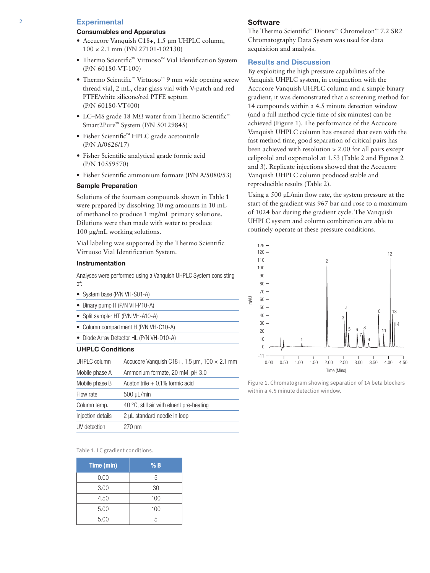# 2 Experimental

## Consumables and Apparatus

- Accucore Vanquish C18+, 1.5 µm UHPLC column, 100 × 2.1 mm (P/N 27101-102130)
- Thermo Scientific™ Virtuoso™ Vial Identification System (P/N 60180-VT-100)
- Thermo Scientific™ Virtuoso™ 9 mm wide opening screw thread vial, 2 mL, clear glass vial with V-patch and red PTFE/white silicone/red PTFE septum (P/N 60180-VT400)
- LC–MS grade 18 MΩ water from Thermo Scientific<sup>™</sup> Smart2Pure™ System (P/N 50129845)
- Fisher Scientific™ HPLC grade acetonitrile (P/N A/0626/17)
- Fisher Scientific analytical grade formic acid (P/N 10559570)
- Fisher Scientific ammonium formate (P/N A/5080/53)

#### Sample Preparation

Solutions of the fourteen compounds shown in Table 1 were prepared by dissolving 10 mg amounts in 10 mL of methanol to produce 1 mg/mL primary solutions. Dilutions were then made with water to produce 100 µg/mL working solutions.

Vial labeling was supported by the Thermo Scientific Virtuoso Vial Identification System.

# Instrumentation

Analyses were performed using a Vanquish UHPLC System consisting of:

- System base (P/N VH-S01-A)
- Binary pump H (P/N VH-P10-A)
- Split sampler HT (P/N VH-A10-A)
- Column compartment H (P/N VH-C10-A)
- Diode Array Detector HL (P/N VH-D10-A)

# UHPLC Conditions

| UHPLC column                                        | Accucore Vanguish C18+, 1.5 $\mu$ m, 100 $\times$ 2.1 mm |  |  |
|-----------------------------------------------------|----------------------------------------------------------|--|--|
| Mobile phase A                                      | Ammonium formate, 20 mM, pH 3.0                          |  |  |
| Mobile phase B<br>Acetonitrile $+0.1\%$ formic acid |                                                          |  |  |
| Flow rate                                           | $500 \mu L/min$                                          |  |  |
| Column temp.                                        | 40 °C, still air with eluent pre-heating                 |  |  |
| Injection details                                   | 2 µL standard needle in loop                             |  |  |
| UV detection                                        | 270 nm                                                   |  |  |

#### Table 1. LC gradient conditions.

| Time (min) | % B |
|------------|-----|
| 0.00       | 5   |
| 3.00       | 30  |
| 4.50       | 100 |
| 5.00       | 100 |
| 5.00       | 5   |

#### **Software**

The Thermo Scientific™ Dionex™ Chromeleon™ 7.2 SR2 Chromatography Data System was used for data acquisition and analysis.

# Results and Discussion

By exploiting the high pressure capabilities of the Vanquish UHPLC system, in conjunction with the Accucore Vanquish UHPLC column and a simple binary gradient, it was demonstrated that a screening method for 14 compounds within a 4.5 minute detection window (and a full method cycle time of six minutes) can be achieved (Figure 1). The performance of the Accucore Vanquish UHPLC column has ensured that even with the fast method time, good separation of critical pairs has been achieved with resolution > 2.00 for all pairs except celiprolol and oxprenolol at 1.53 (Table 2 and Figures 2 and 3). Replicate injections showed that the Accucore Vanquish UHPLC column produced stable and reproducible results (Table 2).

Using a 500 µL/min flow rate, the system pressure at the start of the gradient was 967 bar and rose to a maximum of 1024 bar during the gradient cycle. The Vanquish UHPLC system and column combination are able to routinely operate at these pressure conditions.



Figure 1. Chromatogram showing separation of 14 beta blockers within a 4.5 minute detection window.